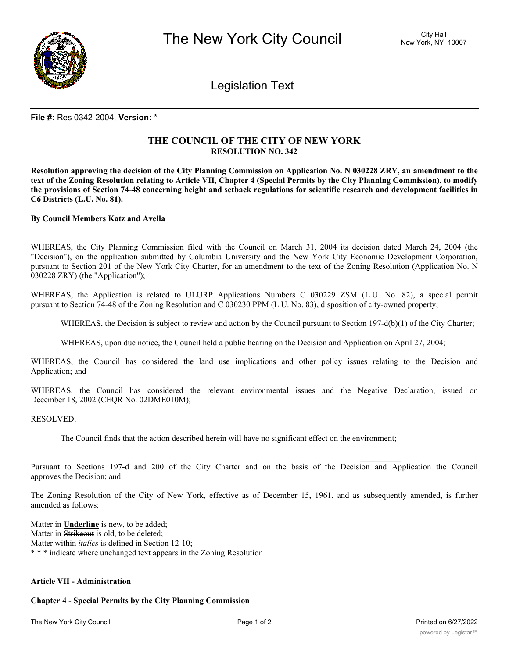

Legislation Text

#### **File #:** Res 0342-2004, **Version:** \*

# **THE COUNCIL OF THE CITY OF NEW YORK RESOLUTION NO. 342**

Resolution approving the decision of the City Planning Commission on Application No. N 030228 ZRY, an amendment to the text of the Zoning Resolution relating to Article VII, Chapter 4 (Special Permits by the City Planning Commission), to modify the provisions of Section 74-48 concerning height and setback regulations for scientific research and development facilities in **C6 Districts (L.U. No. 81).**

#### **By Council Members Katz and Avella**

WHEREAS, the City Planning Commission filed with the Council on March 31, 2004 its decision dated March 24, 2004 (the "Decision"), on the application submitted by Columbia University and the New York City Economic Development Corporation, pursuant to Section 201 of the New York City Charter, for an amendment to the text of the Zoning Resolution (Application No. N 030228 ZRY) (the "Application");

WHEREAS, the Application is related to ULURP Applications Numbers C 030229 ZSM (L.U. No. 82), a special permit pursuant to Section 74-48 of the Zoning Resolution and C 030230 PPM (L.U. No. 83), disposition of city-owned property;

WHEREAS, the Decision is subject to review and action by the Council pursuant to Section 197-d(b)(1) of the City Charter;

WHEREAS, upon due notice, the Council held a public hearing on the Decision and Application on April 27, 2004;

WHEREAS, the Council has considered the land use implications and other policy issues relating to the Decision and Application; and

WHEREAS, the Council has considered the relevant environmental issues and the Negative Declaration, issued on December 18, 2002 (CEQR No. 02DME010M);

RESOLVED:

The Council finds that the action described herein will have no significant effect on the environment;

Pursuant to Sections 197-d and 200 of the City Charter and on the basis of the Decision and Application the Council approves the Decision; and

The Zoning Resolution of the City of New York, effective as of December 15, 1961, and as subsequently amended, is further amended as follows:

Matter in **Underline** is new, to be added; Matter in Strikeout is old, to be deleted; Matter within *italics* is defined in Section 12-10; \* \* \* indicate where unchanged text appears in the Zoning Resolution

### **Article VII - Administration**

#### **Chapter 4 - Special Permits by the City Planning Commission**

 $\frac{1}{2}$